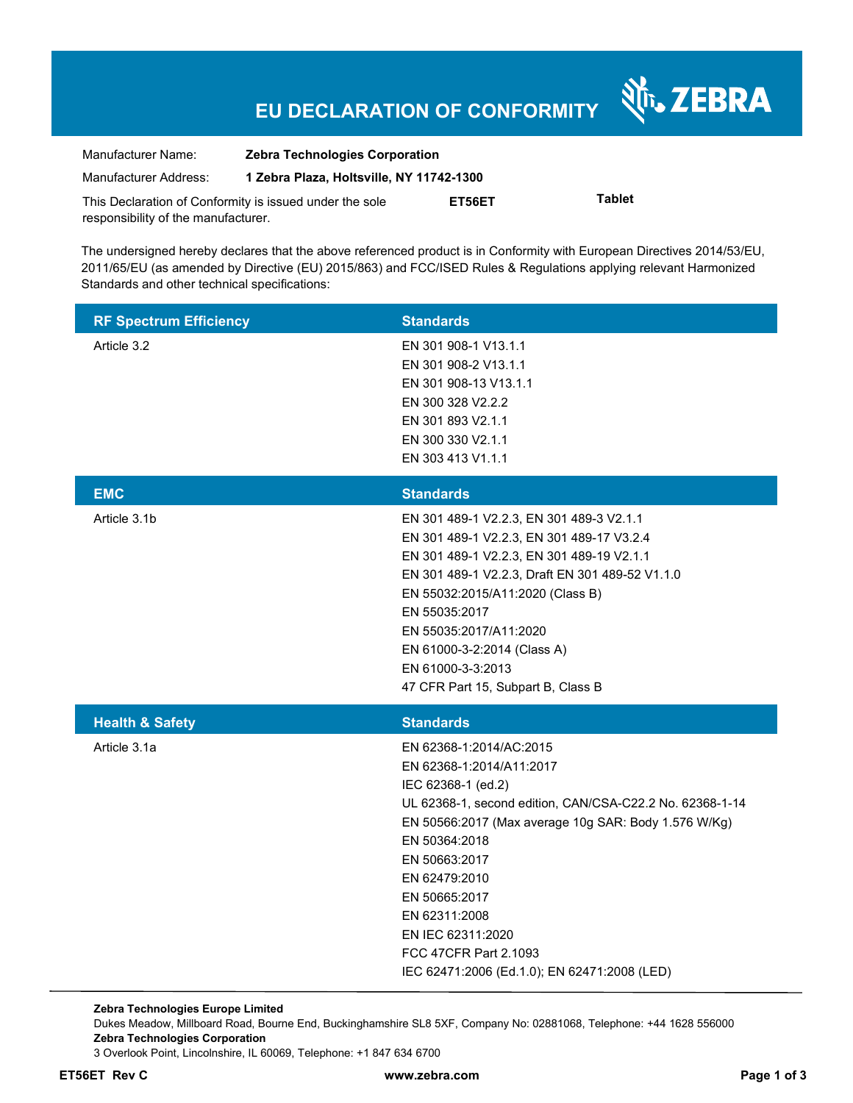# **EU DECLARATION OF CONFORMITY**

Nr. ZEBRA

| Manufacturer Name:                                      | <b>Zebra Technologies Corporation</b>    |        |               |  |
|---------------------------------------------------------|------------------------------------------|--------|---------------|--|
| Manufacturer Address:                                   | 1 Zebra Plaza, Holtsville, NY 11742-1300 |        |               |  |
| This Declaration of Conformity is issued under the sole |                                          | ET56ET | <b>Tablet</b> |  |
| responsibility of the manufacturer.                     |                                          |        |               |  |

The undersigned hereby declares that the above referenced product is in Conformity with European Directives 2014/53/EU, 2011/65/EU (as amended by Directive (EU) 2015/863) and FCC/ISED Rules & Regulations applying relevant Harmonized Standards and other technical specifications:

| <b>RF Spectrum Efficiency</b> | <b>Standards</b>                                                                                                                                                                                                                                                                                                                                                                 |
|-------------------------------|----------------------------------------------------------------------------------------------------------------------------------------------------------------------------------------------------------------------------------------------------------------------------------------------------------------------------------------------------------------------------------|
| Article 3.2                   | EN 301 908-1 V13.1.1<br>EN 301 908-2 V13.1.1<br>EN 301 908-13 V13.1.1<br>EN 300 328 V2.2.2<br>EN 301 893 V2.1.1<br>EN 300 330 V2.1.1<br>EN 303 413 V1.1.1                                                                                                                                                                                                                        |
| <b>EMC</b>                    | <b>Standards</b>                                                                                                                                                                                                                                                                                                                                                                 |
| Article 3.1b                  | EN 301 489-1 V2.2.3, EN 301 489-3 V2.1.1<br>EN 301 489-1 V2.2.3, EN 301 489-17 V3.2.4<br>EN 301 489-1 V2.2.3, EN 301 489-19 V2.1.1<br>EN 301 489-1 V2.2.3, Draft EN 301 489-52 V1.1.0<br>EN 55032:2015/A11:2020 (Class B)<br>EN 55035:2017<br>EN 55035:2017/A11:2020<br>EN 61000-3-2:2014 (Class A)<br>EN 61000-3-3:2013<br>47 CFR Part 15, Subpart B, Class B                   |
| <b>Health &amp; Safety</b>    | <b>Standards</b>                                                                                                                                                                                                                                                                                                                                                                 |
| Article 3.1a                  | EN 62368-1:2014/AC:2015<br>EN 62368-1:2014/A11:2017<br>IEC 62368-1 (ed.2)<br>UL 62368-1, second edition, CAN/CSA-C22.2 No. 62368-1-14<br>EN 50566:2017 (Max average 10g SAR: Body 1.576 W/Kg)<br>EN 50364:2018<br>EN 50663:2017<br>EN 62479:2010<br>EN 50665:2017<br>EN 62311:2008<br>EN IEC 62311:2020<br>FCC 47CFR Part 2.1093<br>IEC 62471:2006 (Ed.1.0); EN 62471:2008 (LED) |

**Zebra Technologies Europe Limited**  Dukes Meadow, Millboard Road, Bourne End, Buckinghamshire SL8 5XF, Company No: 02881068, Telephone: +44 1628 556000 **Zebra Technologies Corporation**  3 Overlook Point, Lincolnshire, IL 60069, Telephone: +1 847 634 6700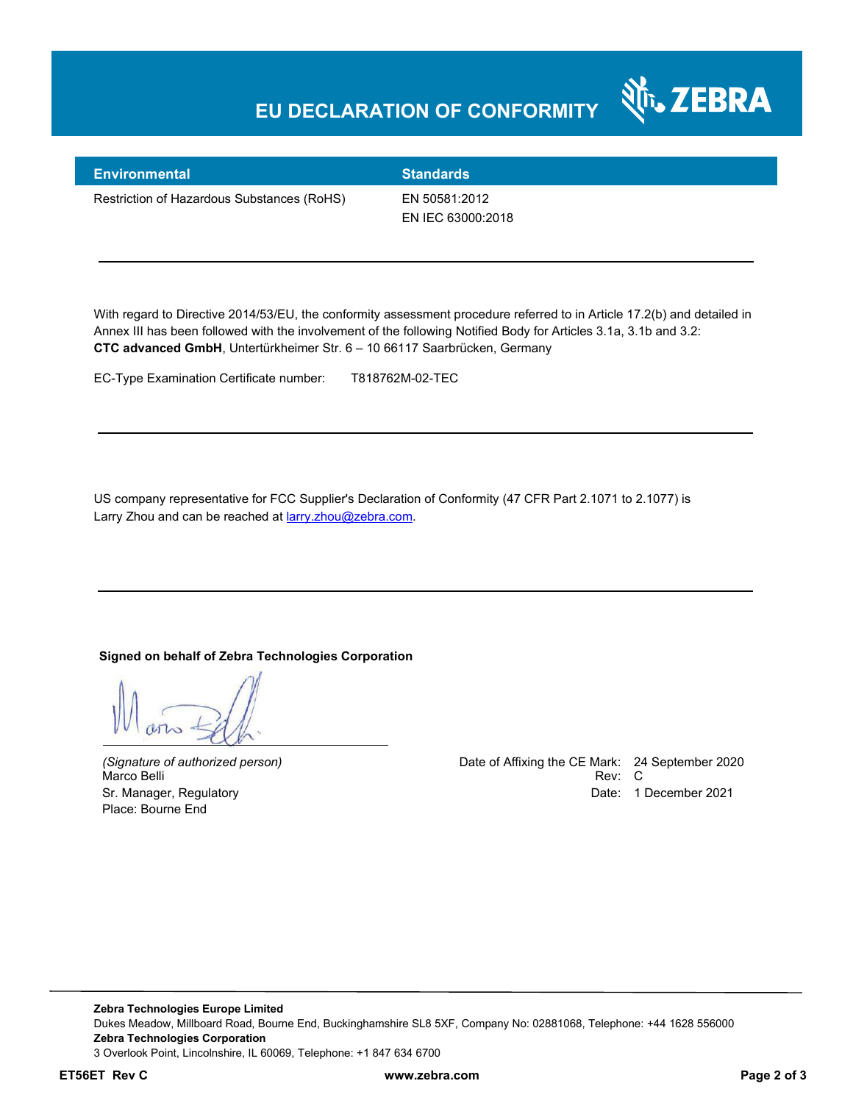## **EU DECLARATION OF CONFORMITY**



#### **Environmental Standards**

Restriction of Hazardous Substances (RoHS) EN 50581:2012

EN IEC 63000:2018

With regard to Directive 2014/53/EU, the conformity assessment procedure referred to in Article 17.2(b) and detailed in Annex III has been followed with the involvement of the following Notified Body for Articles 3.1a, 3.1b and 3.2: **CTC advanced GmbH**, Untertürkheimer Str. 6 – 10 66117 Saarbrücken, Germany

EC-Type Examination Certificate number: T818762M-02-TEC

US company representative for FCC Supplier's Declaration of Conformity (47 CFR Part 2.1071 to 2.1077) is Larry Zhou and can be reached at **larry.zhou@zebra.com.** 

#### **Signed on behalf of Zebra Technologies Corporation**

Place: Bourne End

*(Signature of authorized person)* Date of Affixing the CE Mark: 24 September 2020 Marco Belli Rev: C Sr. Manager, Regulatory **Date: 1 December 2021**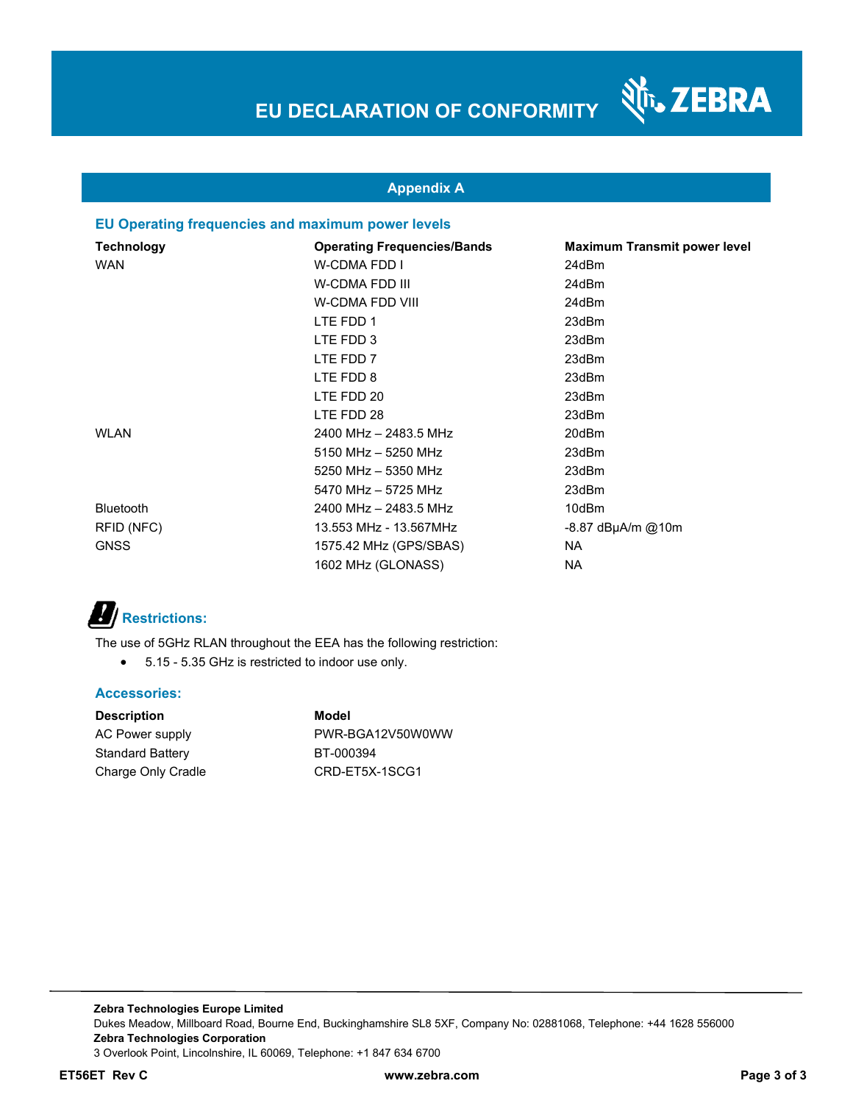

### **Appendix A**

### **EU Operating frequencies and maximum power levels**

| Technology       | <b>Operating Frequencies/Bands</b> | <b>Maximum Transmit power level</b> |
|------------------|------------------------------------|-------------------------------------|
| <b>WAN</b>       | W-CDMA FDD I                       | 24dBm                               |
|                  | W-CDMA FDD III                     | 24dBm                               |
|                  | <b>W-CDMA FDD VIII</b>             | 24dBm                               |
|                  | LTE FDD 1                          | 23dBm                               |
|                  | LTE FDD 3                          | 23dBm                               |
|                  | LTE FDD 7                          | 23dBm                               |
|                  | LTE FDD 8                          | 23dBm                               |
|                  | LTE FDD 20                         | 23dBm                               |
|                  | LTE FDD 28                         | 23dBm                               |
| <b>WLAN</b>      | 2400 MHz - 2483.5 MHz              | 20dBm                               |
|                  | $5150$ MHz $-$ 5250 MHz            | 23dBm                               |
|                  | 5250 MHz - 5350 MHz                | 23dBm                               |
|                  | 5470 MHz - 5725 MHz                | 23dBm                               |
| <b>Bluetooth</b> | 2400 MHz - 2483.5 MHz              | 10dBm                               |
| RFID (NFC)       | 13.553 MHz - 13.567MHz             | $-8.87$ dBµA/m @10m                 |
| <b>GNSS</b>      | 1575.42 MHz (GPS/SBAS)             | NA.                                 |
|                  | 1602 MHz (GLONASS)                 | NA.                                 |

# *B*/**Restrictions:**

The use of 5GHz RLAN throughout the EEA has the following restriction:

5.15 - 5.35 GHz is restricted to indoor use only.

### **Accessories:**

| Model            |
|------------------|
| PWR-BGA12V50W0WW |
| BT-000394        |
| CRD-ET5X-1SCG1   |
|                  |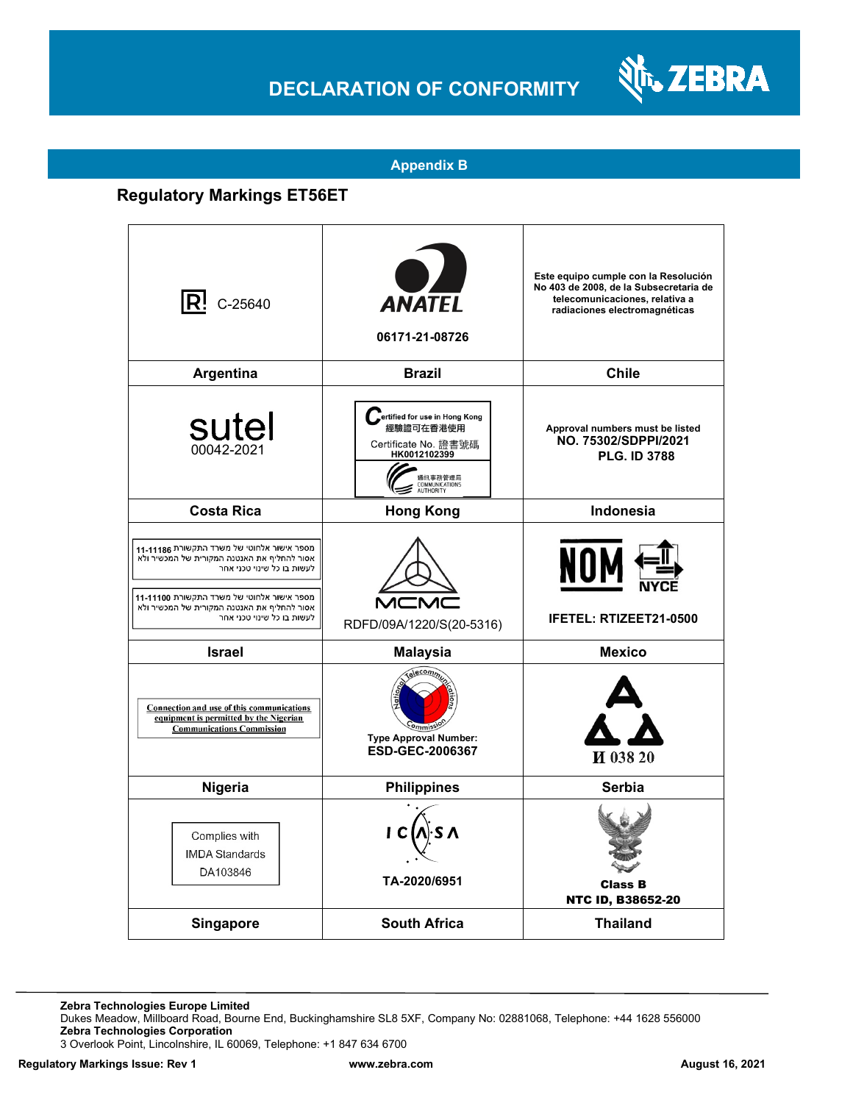## **DECLARATION OF CONFORMITY**



### **Appendix B**

### **Regulatory Markings ET56ET**

| $\mathsf{R}^!$ C-25640                                                                                                                                                                                                                            | <b>ANATEL</b><br>06171-21-08726                                                                                               | Este equipo cumple con la Resolución<br>No 403 de 2008, de la Subsecretaria de<br>telecomunicaciones, relativa a<br>radiaciones electromagnéticas |
|---------------------------------------------------------------------------------------------------------------------------------------------------------------------------------------------------------------------------------------------------|-------------------------------------------------------------------------------------------------------------------------------|---------------------------------------------------------------------------------------------------------------------------------------------------|
| Argentina                                                                                                                                                                                                                                         | <b>Brazil</b>                                                                                                                 | <b>Chile</b>                                                                                                                                      |
| sutel<br>00042-2021                                                                                                                                                                                                                               | Fertified for use in Hong Kong<br>經驗證可在香港使用<br>Certificate No. 證書號碼<br>HK0012102399<br>通訊事務管理局<br>COMMUNICATIONS<br>AUTHORITY | Approval numbers must be listed<br>NO. 75302/SDPPI/2021<br><b>PLG. ID 3788</b>                                                                    |
| <b>Costa Rica</b>                                                                                                                                                                                                                                 | <b>Hong Kong</b>                                                                                                              | Indonesia                                                                                                                                         |
| מספר אישור אלחוטי של משרד התקשורת 11-1186<br>אסור להחליף את האנטנה המקורית של המכשיר ולא<br>לעשות בו כל שינוי טכני אחר<br>מספר אישור אלחוטי של משרד התקשורת 11-11100<br>אסור להחליף את האנטנה המקורית של המכשיר ולא<br>לעשות בו כל שינוי טכני אחר | MCN<br>RDFD/09A/1220/S(20-5316)                                                                                               | NOM<br><b>IFETEL: RTIZEET21-0500</b>                                                                                                              |
| <b>Israel</b>                                                                                                                                                                                                                                     | <b>Malaysia</b>                                                                                                               | <b>Mexico</b>                                                                                                                                     |
| Connection and use of this communications<br>equipment is permitted by the Nigerian<br><b>Communications Commission</b>                                                                                                                           | relecom,<br><b>Type Approval Number:</b><br>ESD-GEC-2006367                                                                   | И 038 20                                                                                                                                          |
| Nigeria                                                                                                                                                                                                                                           | <b>Philippines</b>                                                                                                            | Serbia                                                                                                                                            |
| Complies with<br><b>IMDA Standards</b><br>DA103846                                                                                                                                                                                                | TA-2020/6951                                                                                                                  | <b>Class B</b><br><b>NTC ID, B38652-20</b>                                                                                                        |
| Singapore                                                                                                                                                                                                                                         | <b>South Africa</b>                                                                                                           | <b>Thailand</b>                                                                                                                                   |

**Zebra Technologies Europe Limited**

Dukes Meadow, Millboard Road, Bourne End, Buckinghamshire SL8 5XF, Company No: 02881068, Telephone: +44 1628 556000 **Zebra Technologies Corporation** 

3 Overlook Point, Lincolnshire, IL 60069, Telephone: +1 847 634 6700